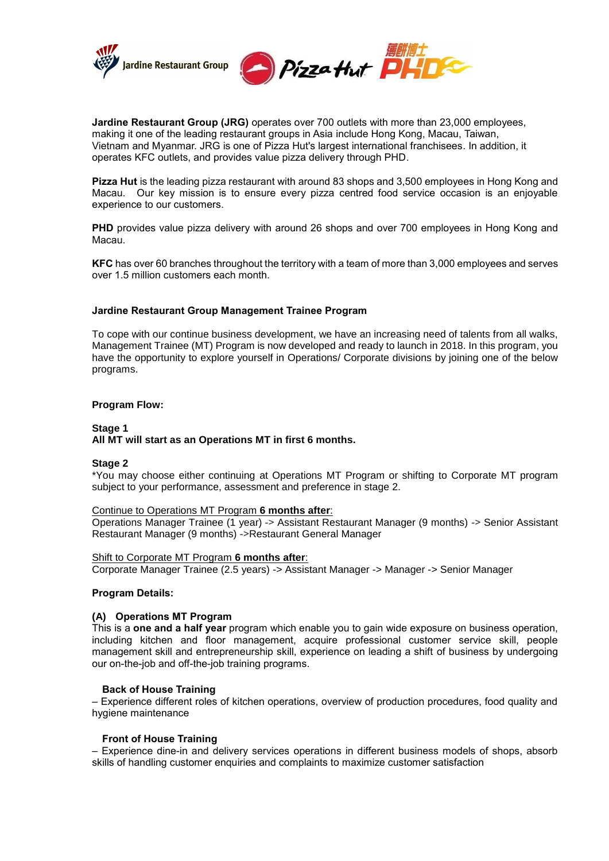

**Jardine Restaurant Group (JRG)** operates over 700 outlets with more than 23,000 employees, making it one of the leading restaurant groups in Asia include [Hong Kong,](http://www.pizzahut.com.hk/) [Macau,](http://www.pizzahut.com.mo/) [Taiwan,](http://www.pizzahut.com.tw/) [Vietnam](http://pizzahut.vn/) and Myanmar. JRG is one of Pizza Hut's largest international franchisees. In addition, it operates KFC outlets, and provides value pizza delivery through PHD.

**Pizza Hut** is the leading pizza restaurant with around 83 shops and 3,500 employees in Hong Kong and Macau. Our key mission is to ensure every pizza centred food service occasion is an enjoyable experience to our customers.

**PHD** provides value pizza delivery with around 26 shops and over 700 employees in Hong Kong and Macau.

**KFC** has over 60 branches throughout the territory with a team of more than 3,000 employees and serves over 1.5 million customers each month.

### **Jardine Restaurant Group Management Trainee Program**

To cope with our continue business development, we have an increasing need of talents from all walks, Management Trainee (MT) Program is now developed and ready to launch in 2018. In this program, you have the opportunity to explore yourself in Operations/ Corporate divisions by joining one of the below programs.

### **Program Flow:**

### **Stage 1 All MT will start as an Operations MT in first 6 months.**

### **Stage 2**

\*You may choose either continuing at Operations MT Program or shifting to Corporate MT program subject to your performance, assessment and preference in stage 2.

## Continue to Operations MT Program **6 months after**:

Operations Manager Trainee (1 year) -> Assistant Restaurant Manager (9 months) -> Senior Assistant Restaurant Manager (9 months) ->Restaurant General Manager

## Shift to Corporate MT Program **6 months after**:

Corporate Manager Trainee (2.5 years) -> Assistant Manager -> Manager -> Senior Manager

### **Program Details:**

## **(A) Operations MT Program**

This is a **one and a half year** program which enable you to gain wide exposure on business operation, including kitchen and floor management, acquire professional customer service skill, people management skill and entrepreneurship skill, experience on leading a shift of business by undergoing our on-the-job and off-the-job training programs.

### **Back of House Training**

– Experience different roles of kitchen operations, overview of production procedures, food quality and hygiene maintenance

### **Front of House Training**

– Experience dine-in and delivery services operations in different business models of shops, absorb skills of handling customer enquiries and complaints to maximize customer satisfaction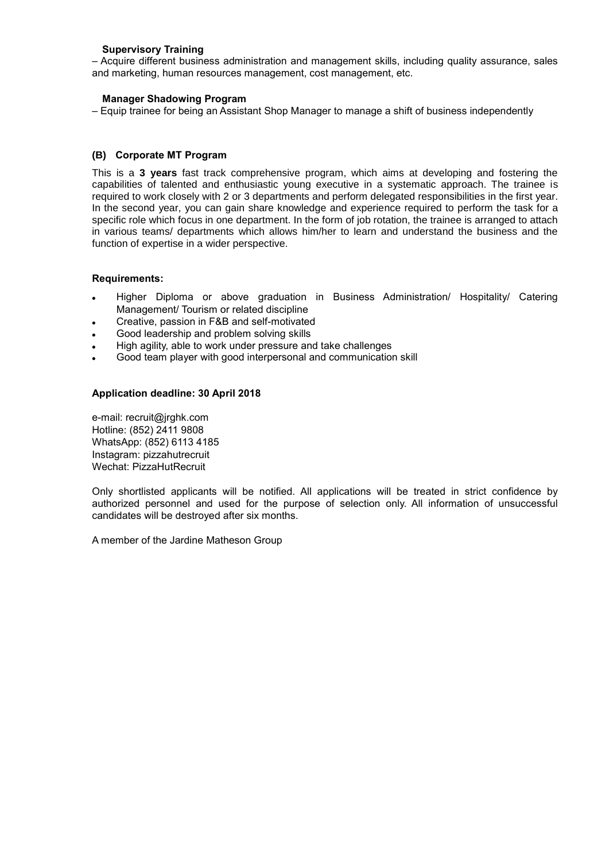## **Supervisory Training**

– Acquire different business administration and management skills, including quality assurance, sales and marketing, human resources management, cost management, etc.

### **Manager Shadowing Program**

– Equip trainee for being an Assistant Shop Manager to manage a shift of business independently

## **(B) Corporate MT Program**

This is a **3 years** fast track comprehensive program, which aims at developing and fostering the capabilities of talented and enthusiastic young executive in a systematic approach. The trainee is required to work closely with 2 or 3 departments and perform delegated responsibilities in the first year. In the second year, you can gain share knowledge and experience required to perform the task for a specific role which focus in one department. In the form of job rotation, the trainee is arranged to attach in various teams/ departments which allows him/her to learn and understand the business and the function of expertise in a wider perspective.

### **Requirements:**

- Higher Diploma or above graduation in Business Administration/ Hospitality/ Catering Management/ Tourism or related discipline
- Creative, passion in F&B and self-motivated
- Good leadership and problem solving skills
- High agility, able to work under pressure and take challenges
- Good team player with good interpersonal and communication skill

## **Application deadline: 30 April 2018**

e-mail: recruit@jrghk.com Hotline: (852) 2411 9808 WhatsApp: (852) 6113 4185 Instagram: pizzahutrecruit Wechat: [PizzaHutRecruit](https://mp.weixin.qq.com/cgi-bin/settingpage?t=setting/index&action=index&token=1330812553&lang=zh_CN)

Only shortlisted applicants will be notified. All applications will be treated in strict confidence by authorized personnel and used for the purpose of selection only. All information of unsuccessful candidates will be destroyed after six months.

A member of the Jardine Matheson Group